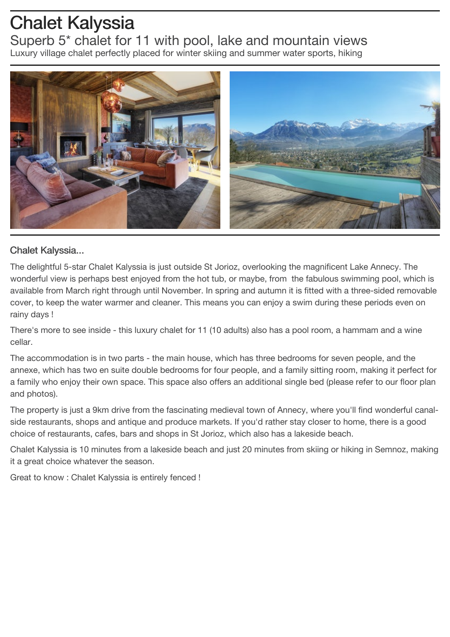## Chalet Kalyssia

Superb 5\* chalet for 11 with pool, lake and mountain views Luxury village chalet perfectly placed for winter skiing and summer water sports, hiking



## Chalet Kalyssia...

The delightful 5-star Chalet Kalyssia is just outside St Jorioz, overlooking the magnificent Lake Annecy. The wonderful view is perhaps best enjoyed from the hot tub, or maybe, from the fabulous swimming pool, which is available from March right through until November. In spring and autumn it is fitted with a three-sided removable cover, to keep the water warmer and cleaner. This means you can enjoy a swim during these periods even on rainy days !

There's more to see inside - this luxury chalet for 11 (10 adults) also has a pool room, a hammam and a wine cellar.

The accommodation is in two parts - the main house, which has three bedrooms for seven people, and the annexe, which has two en suite double bedrooms for four people, and a family sitting room, making it perfect for a family who enjoy their own space. This space also offers an additional single bed (please refer to our floor plan and photos).

The property is just a 9km drive from the fascinating medieval town of Annecy, where you'll find wonderful canalside restaurants, shops and antique and produce markets. If you'd rather stay closer to home, there is a good choice of restaurants, cafes, bars and shops in St Jorioz, which also has a lakeside beach.

Chalet Kalyssia is 10 minutes from a lakeside beach and just 20 minutes from skiing or hiking in Semnoz, making it a great choice whatever the season.

Great to know : Chalet Kalyssia is entirely fenced !